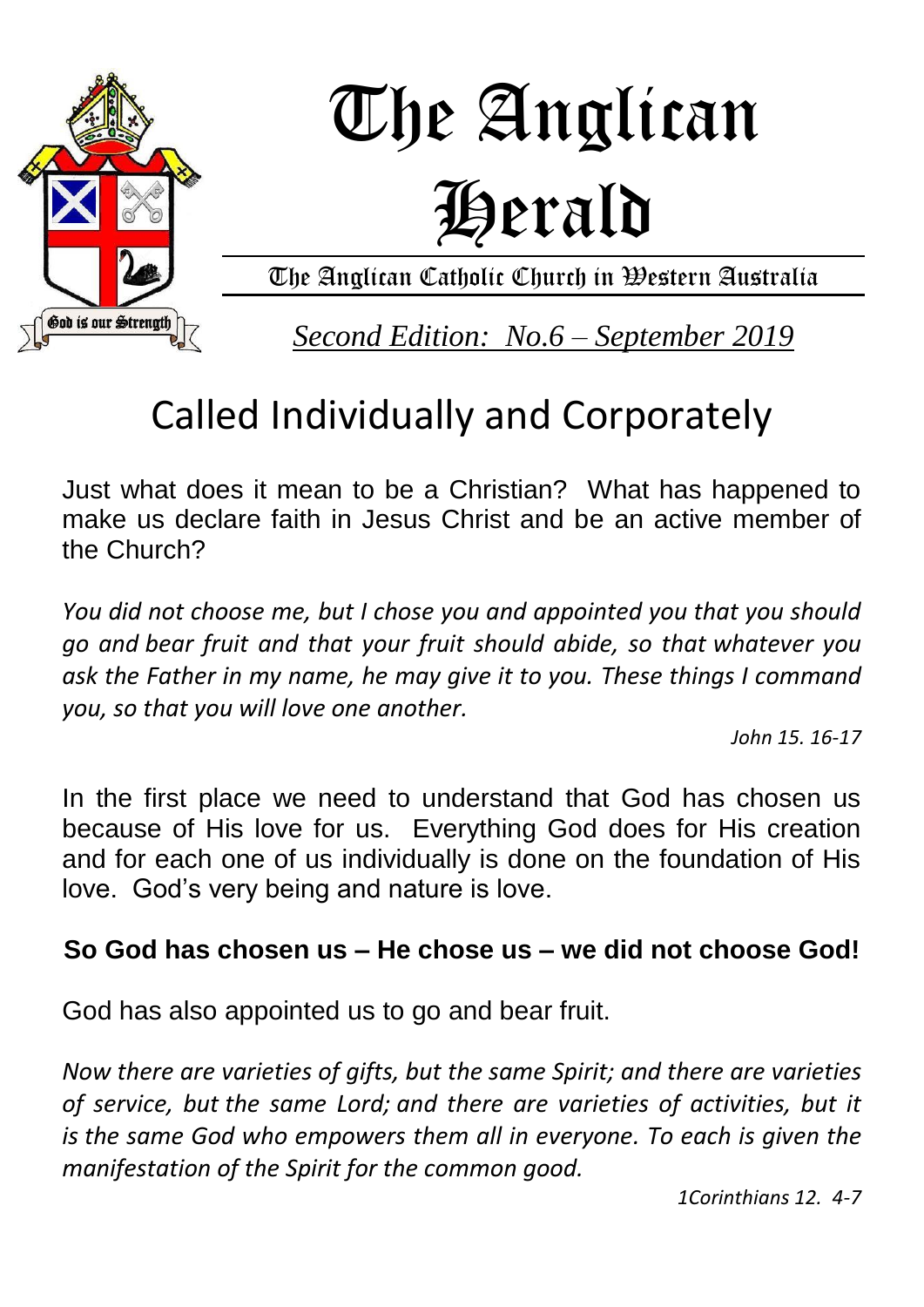

# The Anglican Herald

The Anglican Catholic Church in Western Australia

*Second Edition: No.6 – September 2019*

## Called Individually and Corporately

Just what does it mean to be a Christian? What has happened to make us declare faith in Jesus Christ and be an active member of the Church?

*You did not choose me, but I chose you and appointed you that you should go and bear fruit and that your fruit should abide, so that whatever you ask the Father in my name, he may give it to you. These things I command you, so that you will love one another.*

*John 15. 16-17*

In the first place we need to understand that God has chosen us because of His love for us. Everything God does for His creation and for each one of us individually is done on the foundation of His love. God's very being and nature is love.

### **So God has chosen us – He chose us – we did not choose God!**

God has also appointed us to go and bear fruit.

*Now there are varieties of gifts, but the same Spirit; and there are varieties of service, but the same Lord; and there are varieties of activities, but it is the same God who empowers them all in everyone. To each is given the manifestation of the Spirit for the common good.*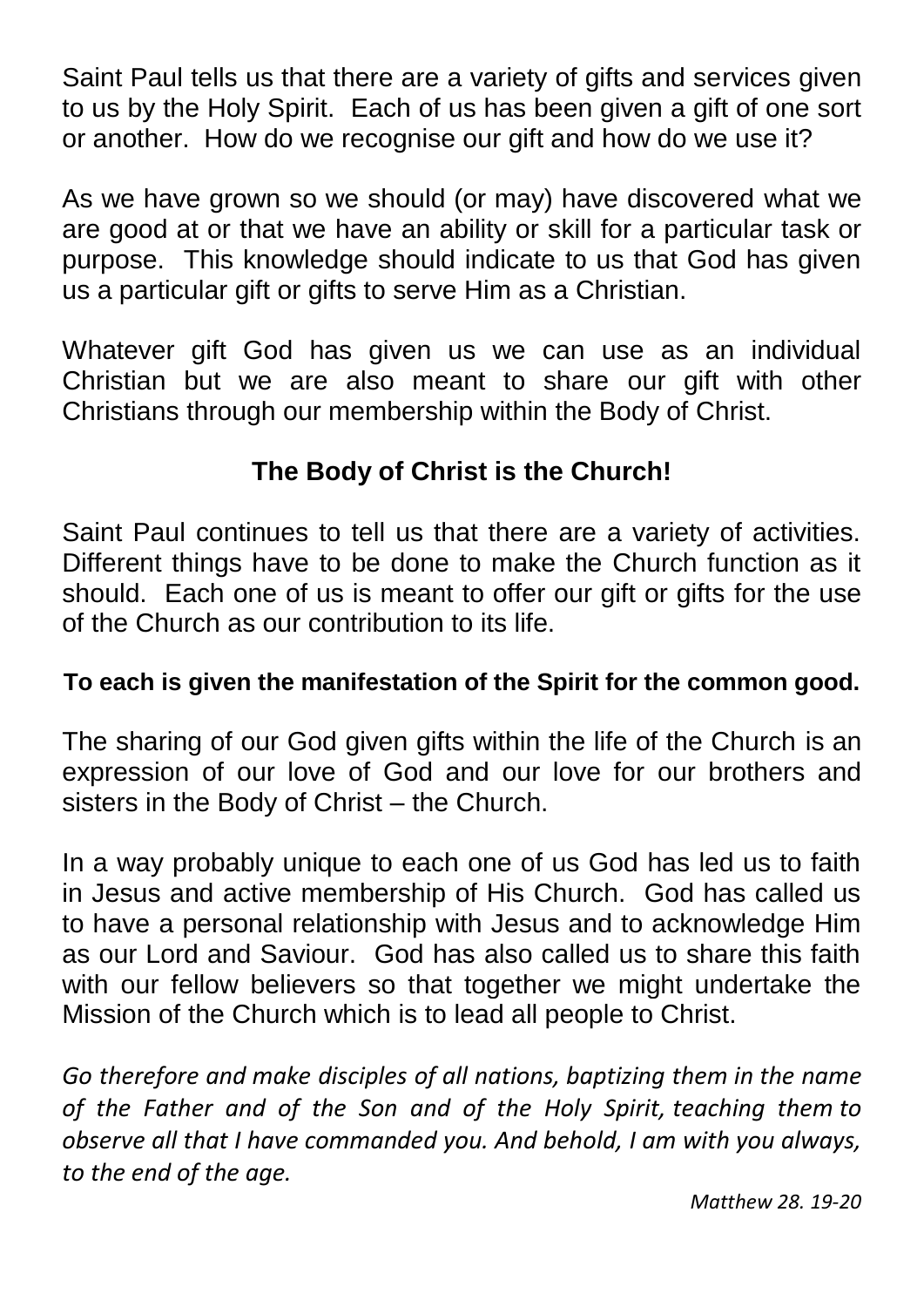Saint Paul tells us that there are a variety of gifts and services given to us by the Holy Spirit. Each of us has been given a gift of one sort or another. How do we recognise our gift and how do we use it?

As we have grown so we should (or may) have discovered what we are good at or that we have an ability or skill for a particular task or purpose. This knowledge should indicate to us that God has given us a particular gift or gifts to serve Him as a Christian.

Whatever gift God has given us we can use as an individual Christian but we are also meant to share our gift with other Christians through our membership within the Body of Christ.

### **The Body of Christ is the Church!**

Saint Paul continues to tell us that there are a variety of activities. Different things have to be done to make the Church function as it should. Each one of us is meant to offer our gift or gifts for the use of the Church as our contribution to its life.

#### **To each is given the manifestation of the Spirit for the common good.**

The sharing of our God given gifts within the life of the Church is an expression of our love of God and our love for our brothers and sisters in the Body of Christ – the Church.

In a way probably unique to each one of us God has led us to faith in Jesus and active membership of His Church. God has called us to have a personal relationship with Jesus and to acknowledge Him as our Lord and Saviour. God has also called us to share this faith with our fellow believers so that together we might undertake the Mission of the Church which is to lead all people to Christ.

*Go therefore and make disciples of all nations, baptizing them in the name of the Father and of the Son and of the Holy Spirit, teaching them to observe all that I have commanded you. And behold, I am with you always, to the end of the age.*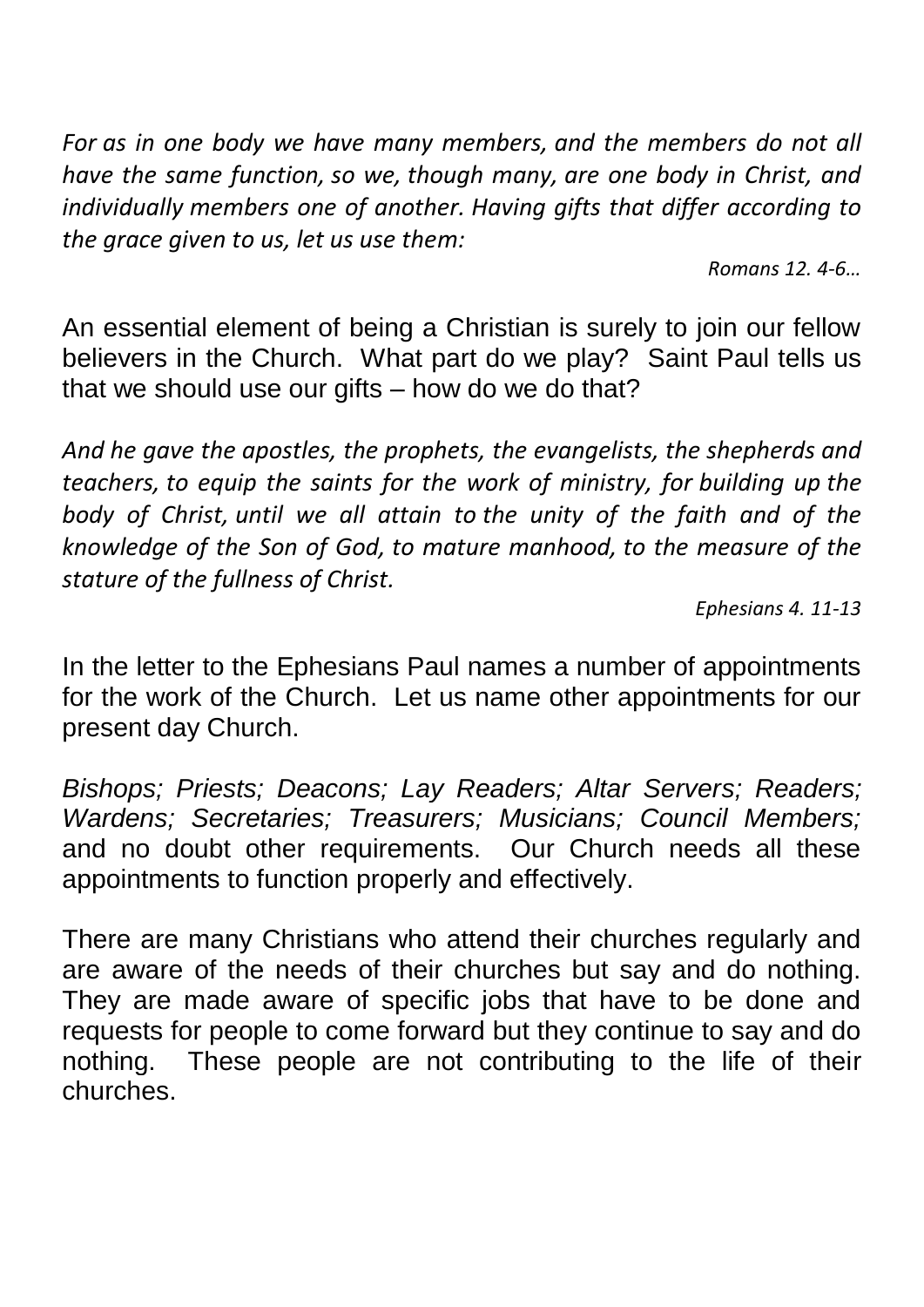*For as in one body we have many members, and the members do not all have the same function, so we, though many, are one body in Christ, and individually members one of another. Having gifts that differ according to the grace given to us, let us use them:*

*Romans 12. 4-6…*

An essential element of being a Christian is surely to join our fellow believers in the Church. What part do we play? Saint Paul tells us that we should use our gifts – how do we do that?

*And he gave the apostles, the prophets, the evangelists, the shepherds and teachers, to equip the saints for the work of ministry, for building up the body of Christ, until we all attain to the unity of the faith and of the knowledge of the Son of God, to mature manhood, to the measure of the stature of the fullness of Christ.*

*Ephesians 4. 11-13*

In the letter to the Ephesians Paul names a number of appointments for the work of the Church. Let us name other appointments for our present day Church.

*Bishops; Priests; Deacons; Lay Readers; Altar Servers; Readers; Wardens; Secretaries; Treasurers; Musicians; Council Members;*  and no doubt other requirements. Our Church needs all these appointments to function properly and effectively.

There are many Christians who attend their churches regularly and are aware of the needs of their churches but say and do nothing. They are made aware of specific jobs that have to be done and requests for people to come forward but they continue to say and do nothing. These people are not contributing to the life of their churches.